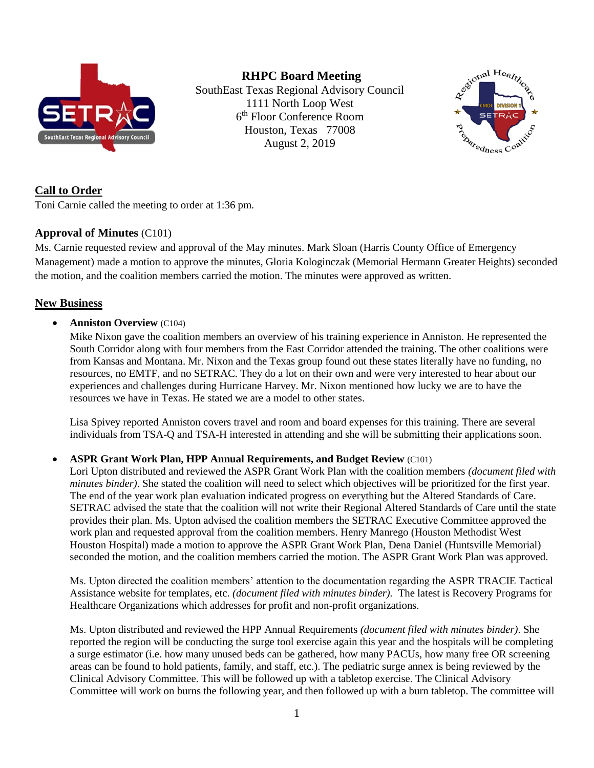

**RHPC Board Meeting** SouthEast Texas Regional Advisory Council 1111 North Loop West 6 th Floor Conference Room Houston, Texas 77008 August 2, 2019



# **Call to Order**

Toni Carnie called the meeting to order at 1:36 pm.

# **Approval of Minutes** (C101)

Ms. Carnie requested review and approval of the May minutes. Mark Sloan (Harris County Office of Emergency Management) made a motion to approve the minutes, Gloria Kologinczak (Memorial Hermann Greater Heights) seconded the motion, and the coalition members carried the motion. The minutes were approved as written.

# **New Business**

## • **Anniston Overview** (C104)

Mike Nixon gave the coalition members an overview of his training experience in Anniston. He represented the South Corridor along with four members from the East Corridor attended the training. The other coalitions were from Kansas and Montana. Mr. Nixon and the Texas group found out these states literally have no funding, no resources, no EMTF, and no SETRAC. They do a lot on their own and were very interested to hear about our experiences and challenges during Hurricane Harvey. Mr. Nixon mentioned how lucky we are to have the resources we have in Texas. He stated we are a model to other states.

Lisa Spivey reported Anniston covers travel and room and board expenses for this training. There are several individuals from TSA-Q and TSA-H interested in attending and she will be submitting their applications soon.

# • **ASPR Grant Work Plan, HPP Annual Requirements, and Budget Review** (C101)

Lori Upton distributed and reviewed the ASPR Grant Work Plan with the coalition members *(document filed with minutes binder)*. She stated the coalition will need to select which objectives will be prioritized for the first year. The end of the year work plan evaluation indicated progress on everything but the Altered Standards of Care. SETRAC advised the state that the coalition will not write their Regional Altered Standards of Care until the state provides their plan. Ms. Upton advised the coalition members the SETRAC Executive Committee approved the work plan and requested approval from the coalition members. Henry Manrego (Houston Methodist West Houston Hospital) made a motion to approve the ASPR Grant Work Plan, Dena Daniel (Huntsville Memorial) seconded the motion, and the coalition members carried the motion. The ASPR Grant Work Plan was approved.

Ms. Upton directed the coalition members' attention to the documentation regarding the ASPR TRACIE Tactical Assistance website for templates, etc. *(document filed with minutes binder).* The latest is Recovery Programs for Healthcare Organizations which addresses for profit and non-profit organizations.

Ms. Upton distributed and reviewed the HPP Annual Requirements *(document filed with minutes binder)*. She reported the region will be conducting the surge tool exercise again this year and the hospitals will be completing a surge estimator (i.e. how many unused beds can be gathered, how many PACUs, how many free OR screening areas can be found to hold patients, family, and staff, etc.). The pediatric surge annex is being reviewed by the Clinical Advisory Committee. This will be followed up with a tabletop exercise. The Clinical Advisory Committee will work on burns the following year, and then followed up with a burn tabletop. The committee will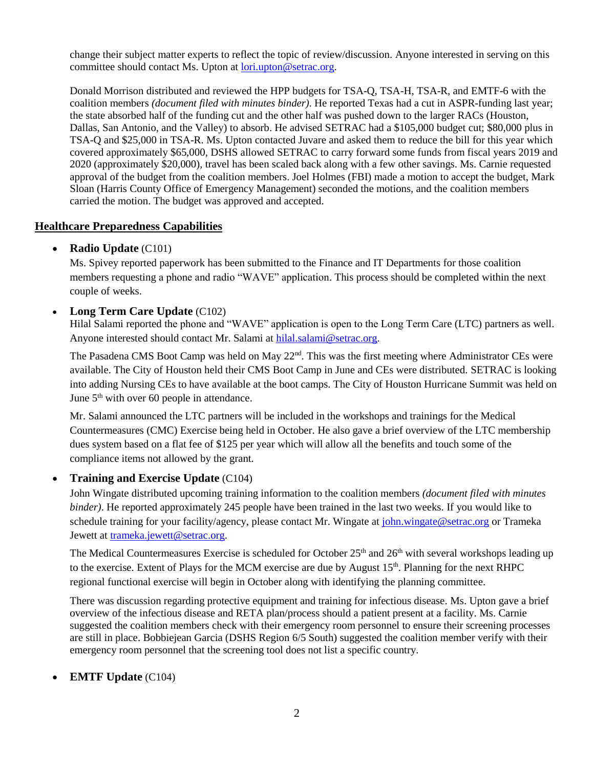change their subject matter experts to reflect the topic of review/discussion. Anyone interested in serving on this committee should contact Ms. Upton at [lori.upton@setrac.org.](mailto:lori.upton@setrac.org)

Donald Morrison distributed and reviewed the HPP budgets for TSA-Q, TSA-H, TSA-R, and EMTF-6 with the coalition members *(document filed with minutes binder)*. He reported Texas had a cut in ASPR-funding last year; the state absorbed half of the funding cut and the other half was pushed down to the larger RACs (Houston, Dallas, San Antonio, and the Valley) to absorb. He advised SETRAC had a \$105,000 budget cut; \$80,000 plus in TSA-Q and \$25,000 in TSA-R. Ms. Upton contacted Juvare and asked them to reduce the bill for this year which covered approximately \$65,000, DSHS allowed SETRAC to carry forward some funds from fiscal years 2019 and 2020 (approximately \$20,000), travel has been scaled back along with a few other savings. Ms. Carnie requested approval of the budget from the coalition members. Joel Holmes (FBI) made a motion to accept the budget, Mark Sloan (Harris County Office of Emergency Management) seconded the motions, and the coalition members carried the motion. The budget was approved and accepted.

# **Healthcare Preparedness Capabilities**

## • **Radio Update** (C101)

Ms. Spivey reported paperwork has been submitted to the Finance and IT Departments for those coalition members requesting a phone and radio "WAVE" application. This process should be completed within the next couple of weeks.

## • **Long Term Care Update** (C102)

Hilal Salami reported the phone and "WAVE" application is open to the Long Term Care (LTC) partners as well. Anyone interested should contact Mr. Salami at [hilal.salami@setrac.org.](mailto:hilal.salami@setrac.org)

The Pasadena CMS Boot Camp was held on May 22<sup>nd</sup>. This was the first meeting where Administrator CEs were available. The City of Houston held their CMS Boot Camp in June and CEs were distributed. SETRAC is looking into adding Nursing CEs to have available at the boot camps. The City of Houston Hurricane Summit was held on June  $5<sup>th</sup>$  with over 60 people in attendance.

Mr. Salami announced the LTC partners will be included in the workshops and trainings for the Medical Countermeasures (CMC) Exercise being held in October. He also gave a brief overview of the LTC membership dues system based on a flat fee of \$125 per year which will allow all the benefits and touch some of the compliance items not allowed by the grant.

# • **Training and Exercise Update** (C104)

John Wingate distributed upcoming training information to the coalition members *(document filed with minutes binder)*. He reported approximately 245 people have been trained in the last two weeks. If you would like to schedule training for your facility/agency, please contact Mr. Wingate at [john.wingate@setrac.org](mailto:john.wingate@setrac.org) or Trameka Jewett at [trameka.jewett@setrac.org.](mailto:trameka.jewett@setrac.org)

The Medical Countermeasures Exercise is scheduled for October 25<sup>th</sup> and 26<sup>th</sup> with several workshops leading up to the exercise. Extent of Plays for the MCM exercise are due by August 15<sup>th</sup>. Planning for the next RHPC regional functional exercise will begin in October along with identifying the planning committee.

There was discussion regarding protective equipment and training for infectious disease. Ms. Upton gave a brief overview of the infectious disease and RETA plan/process should a patient present at a facility. Ms. Carnie suggested the coalition members check with their emergency room personnel to ensure their screening processes are still in place. Bobbiejean Garcia (DSHS Region 6/5 South) suggested the coalition member verify with their emergency room personnel that the screening tool does not list a specific country.

# • **EMTF Update** (C104)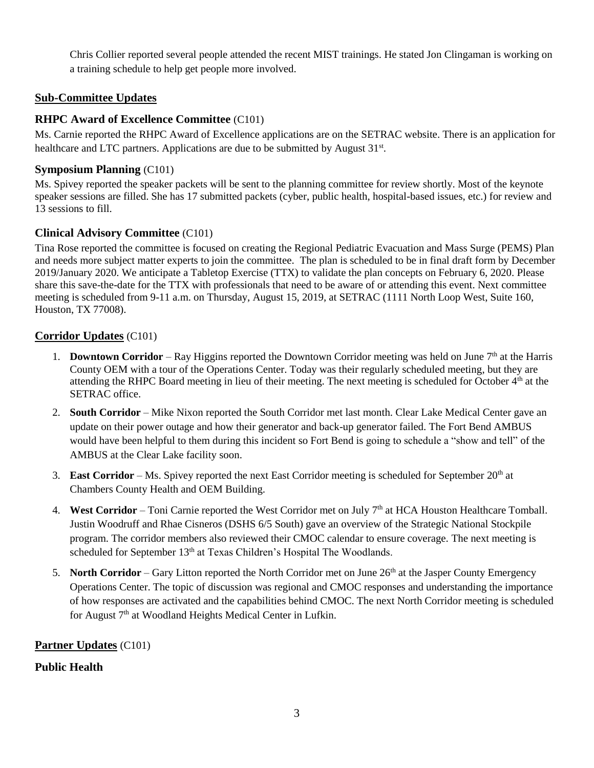Chris Collier reported several people attended the recent MIST trainings. He stated Jon Clingaman is working on a training schedule to help get people more involved.

## **Sub-Committee Updates**

## **RHPC Award of Excellence Committee** (C101)

Ms. Carnie reported the RHPC Award of Excellence applications are on the SETRAC website. There is an application for healthcare and LTC partners. Applications are due to be submitted by August 31<sup>st</sup>.

#### **Symposium Planning** (C101)

Ms. Spivey reported the speaker packets will be sent to the planning committee for review shortly. Most of the keynote speaker sessions are filled. She has 17 submitted packets (cyber, public health, hospital-based issues, etc.) for review and 13 sessions to fill.

#### **Clinical Advisory Committee** (C101)

Tina Rose reported the committee is focused on creating the Regional Pediatric Evacuation and Mass Surge (PEMS) Plan and needs more subject matter experts to join the committee. The plan is scheduled to be in final draft form by December 2019/January 2020. We anticipate a Tabletop Exercise (TTX) to validate the plan concepts on February 6, 2020. Please share this save-the-date for the TTX with professionals that need to be aware of or attending this event. Next committee meeting is scheduled from 9-11 a.m. on Thursday, August 15, 2019, at SETRAC (1111 North Loop West, Suite 160, Houston, TX 77008).

#### **Corridor Updates** (C101)

- 1. **Downtown Corridor** Ray Higgins reported the Downtown Corridor meeting was held on June 7th at the Harris County OEM with a tour of the Operations Center. Today was their regularly scheduled meeting, but they are attending the RHPC Board meeting in lieu of their meeting. The next meeting is scheduled for October  $4<sup>th</sup>$  at the SETRAC office.
- 2. **South Corridor** Mike Nixon reported the South Corridor met last month. Clear Lake Medical Center gave an update on their power outage and how their generator and back-up generator failed. The Fort Bend AMBUS would have been helpful to them during this incident so Fort Bend is going to schedule a "show and tell" of the AMBUS at the Clear Lake facility soon.
- 3. **East Corridor** Ms. Spivey reported the next East Corridor meeting is scheduled for September 20<sup>th</sup> at Chambers County Health and OEM Building.
- 4. **West Corridor** Toni Carnie reported the West Corridor met on July 7th at HCA Houston Healthcare Tomball. Justin Woodruff and Rhae Cisneros (DSHS 6/5 South) gave an overview of the Strategic National Stockpile program. The corridor members also reviewed their CMOC calendar to ensure coverage. The next meeting is scheduled for September 13<sup>th</sup> at Texas Children's Hospital The Woodlands.
- 5. **North Corridor** Gary Litton reported the North Corridor met on June 26<sup>th</sup> at the Jasper County Emergency Operations Center. The topic of discussion was regional and CMOC responses and understanding the importance of how responses are activated and the capabilities behind CMOC. The next North Corridor meeting is scheduled for August 7<sup>th</sup> at Woodland Heights Medical Center in Lufkin.

#### **Partner Updates** (C101)

# **Public Health**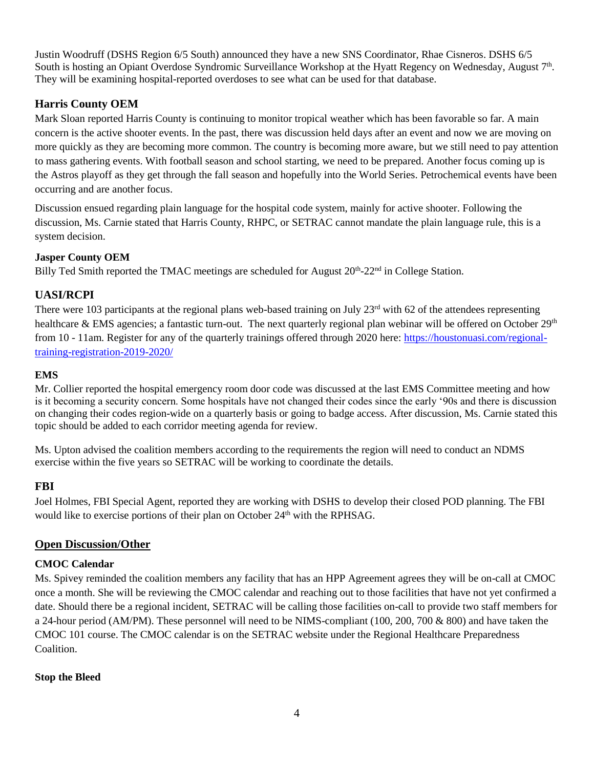Justin Woodruff (DSHS Region 6/5 South) announced they have a new SNS Coordinator, Rhae Cisneros. DSHS 6/5 South is hosting an Opiant Overdose Syndromic Surveillance Workshop at the Hyatt Regency on Wednesday, August 7<sup>th</sup>. They will be examining hospital-reported overdoses to see what can be used for that database.

# **Harris County OEM**

Mark Sloan reported Harris County is continuing to monitor tropical weather which has been favorable so far. A main concern is the active shooter events. In the past, there was discussion held days after an event and now we are moving on more quickly as they are becoming more common. The country is becoming more aware, but we still need to pay attention to mass gathering events. With football season and school starting, we need to be prepared. Another focus coming up is the Astros playoff as they get through the fall season and hopefully into the World Series. Petrochemical events have been occurring and are another focus.

Discussion ensued regarding plain language for the hospital code system, mainly for active shooter. Following the discussion, Ms. Carnie stated that Harris County, RHPC, or SETRAC cannot mandate the plain language rule, this is a system decision.

## **Jasper County OEM**

Billy Ted Smith reported the TMAC meetings are scheduled for August 20<sup>th</sup>-22<sup>nd</sup> in College Station.

# **UASI/RCPI**

There were 103 participants at the regional plans web-based training on July 23<sup>rd</sup> with 62 of the attendees representing healthcare & EMS agencies; a fantastic turn-out. The next quarterly regional plan webinar will be offered on October 29<sup>th</sup> from 10 - 11am. Register for any of the quarterly trainings offered through 2020 here: [https://houstonuasi.com/regional](https://gcc01.safelinks.protection.outlook.com/?url=https%3A%2F%2Fhoustonuasi.com%2Fregional-training-registration-2019-2020%2F&data=02%7C01%7CTina.Rose%40houstontx.gov%7Cafbbe635594c418e8b8d08d70f67177d%7C57a85a10258b45b4a519c96c7721094c%7C0%7C0%7C636994807773492138&sdata=GFTpdG4MjHDzHAEgZkEk5oCIC0YjNo0c36BluPAdhCI%3D&reserved=0)[training-registration-2019-2020/](https://gcc01.safelinks.protection.outlook.com/?url=https%3A%2F%2Fhoustonuasi.com%2Fregional-training-registration-2019-2020%2F&data=02%7C01%7CTina.Rose%40houstontx.gov%7Cafbbe635594c418e8b8d08d70f67177d%7C57a85a10258b45b4a519c96c7721094c%7C0%7C0%7C636994807773492138&sdata=GFTpdG4MjHDzHAEgZkEk5oCIC0YjNo0c36BluPAdhCI%3D&reserved=0)

## **EMS**

Mr. Collier reported the hospital emergency room door code was discussed at the last EMS Committee meeting and how is it becoming a security concern. Some hospitals have not changed their codes since the early '90s and there is discussion on changing their codes region-wide on a quarterly basis or going to badge access. After discussion, Ms. Carnie stated this topic should be added to each corridor meeting agenda for review.

Ms. Upton advised the coalition members according to the requirements the region will need to conduct an NDMS exercise within the five years so SETRAC will be working to coordinate the details.

# **FBI**

Joel Holmes, FBI Special Agent, reported they are working with DSHS to develop their closed POD planning. The FBI would like to exercise portions of their plan on October  $24<sup>th</sup>$  with the RPHSAG.

# **Open Discussion/Other**

#### **CMOC Calendar**

Ms. Spivey reminded the coalition members any facility that has an HPP Agreement agrees they will be on-call at CMOC once a month. She will be reviewing the CMOC calendar and reaching out to those facilities that have not yet confirmed a date. Should there be a regional incident, SETRAC will be calling those facilities on-call to provide two staff members for a 24-hour period (AM/PM). These personnel will need to be NIMS-compliant (100, 200, 700 & 800) and have taken the CMOC 101 course. The CMOC calendar is on the SETRAC website under the Regional Healthcare Preparedness **Coalition** 

#### **Stop the Bleed**